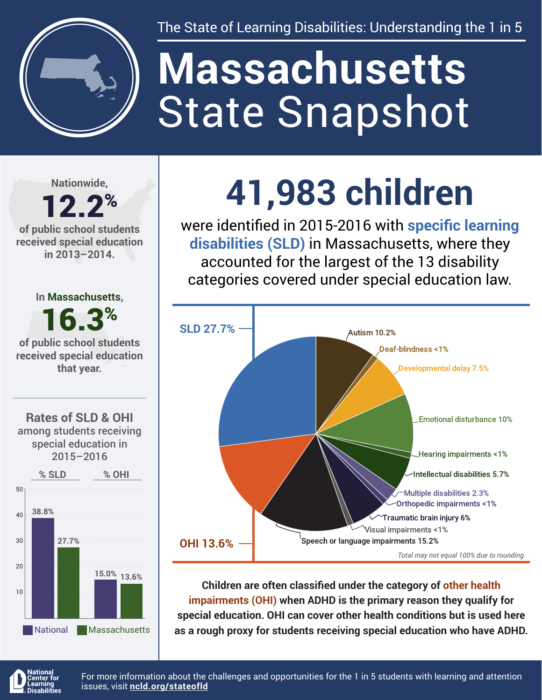

The State of Learning Disabilities: Understanding the 1 in 5

# State Snapshot **Massachusetts**

**Nationwide,**

#### 12.2% **of public school students received special education in 2013–2014.**



**15.0% 13.6%**

National Massachusetts



were identified in 2015-2016 with **specific learning disabilities (SLD)** in Massachusetts, where they accounted for the largest of the 13 disability categories covered under special education law.



**Children are often classified under the category of other health impairments (OHI) when ADHD is the primary reason they qualify for special education. OHI can cover other health conditions but is used here as a rough proxy for students receiving special education who have ADHD.**



20

10

For more information about the challenges and opportunities for the 1 in 5 students with learning and attention issues, visit **[ncld.org/stateofld](http://ncld.org/stateofld)**